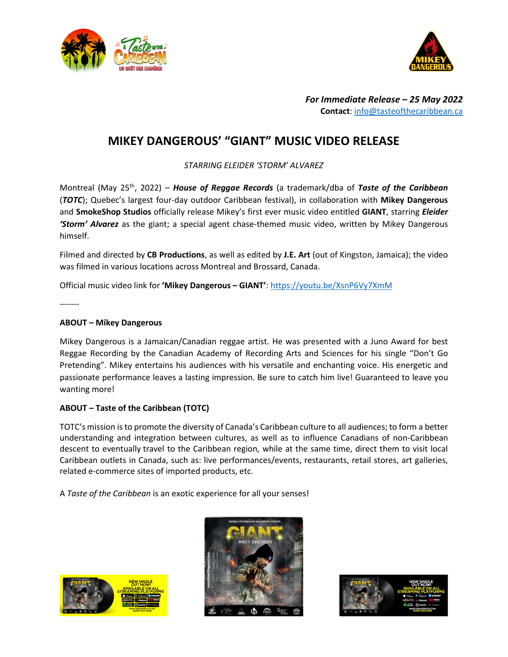



*For Immediate Release – 25 May 2022* **Contact**: [info@tasteofthecaribbean.ca](mailto:info@tasteofthecaribbean.ca)

# **MIKEY DANGEROUS' "GIANT" MUSIC VIDEO RELEASE**

*STARRING ELEIDER 'STORM' ALVAREZ*

Montreal (May 25th, 2022) – *House of Reggae Records* (a trademark/dba of *Taste of the Caribbean* (*TOTC*); Quebec's largest four-day outdoor Caribbean festival), in collaboration with **Mikey Dangerous** and **SmokeShop Studios** officially release Mikey's first ever music video entitled **GIANT**, starring *Eleider 'Storm' Alvarez* as the giant; a special agent chase-themed music video, written by Mikey Dangerous himself.

Filmed and directed by **CB Productions**, as well as edited by **J.E. Art** (out of Kingston, Jamaica); the video was filmed in various locations across Montreal and Brossard, Canada.

Official music video link for **'Mikey Dangerous – GIANT'**: <https://youtu.be/XsnP6Vy7XmM>

-------

## **ABOUT – Mikey Dangerous**

Mikey Dangerous is a Jamaican/Canadian reggae artist. He was presented with a Juno Award for best Reggae Recording by the Canadian Academy of Recording Arts and Sciences for his single "Don't Go Pretending". Mikey entertains his audiences with his versatile and enchanting voice. His energetic and passionate performance leaves a lasting impression. Be sure to catch him live! Guaranteed to leave you wanting more!

## **ABOUT – Taste of the Caribbean (TOTC)**

TOTC's mission is to promote the diversity of Canada's Caribbean culture to all audiences; to form a better understanding and integration between cultures, as well as to influence Canadians of non-Caribbean descent to eventually travel to the Caribbean region, while at the same time, direct them to visit local Caribbean outlets in Canada, such as: live performances/events, restaurants, retail stores, art galleries, related e-commerce sites of imported products, etc.

A *Taste of the Caribbean* is an exotic experience for all your senses!